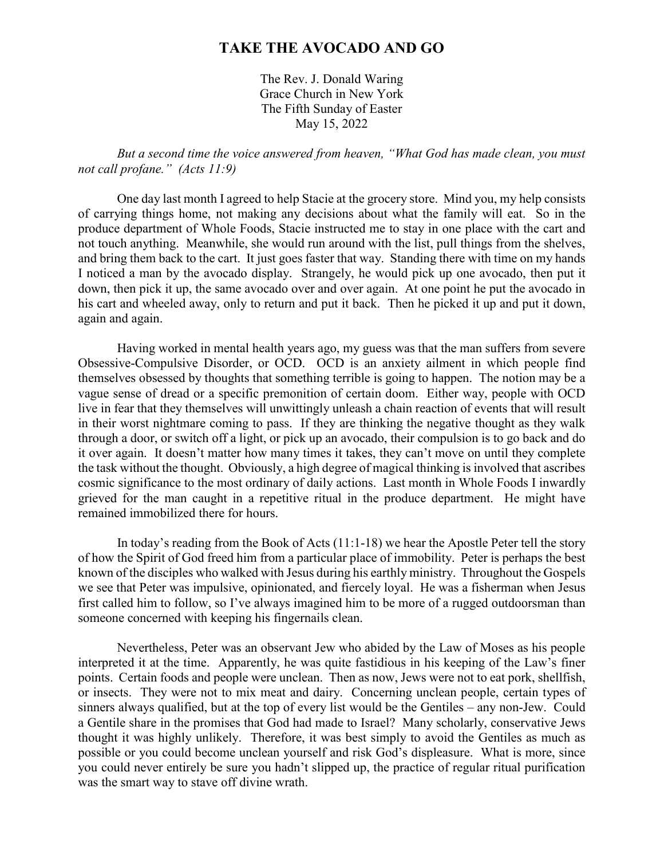## **TAKE THE AVOCADO AND GO**

The Rev. J. Donald Waring Grace Church in New York The Fifth Sunday of Easter May 15, 2022

*But a second time the voice answered from heaven, "What God has made clean, you must not call profane." (Acts 11:9)*

One day last month I agreed to help Stacie at the grocery store. Mind you, my help consists of carrying things home, not making any decisions about what the family will eat. So in the produce department of Whole Foods, Stacie instructed me to stay in one place with the cart and not touch anything. Meanwhile, she would run around with the list, pull things from the shelves, and bring them back to the cart. It just goes faster that way. Standing there with time on my hands I noticed a man by the avocado display. Strangely, he would pick up one avocado, then put it down, then pick it up, the same avocado over and over again. At one point he put the avocado in his cart and wheeled away, only to return and put it back. Then he picked it up and put it down, again and again.

Having worked in mental health years ago, my guess was that the man suffers from severe Obsessive-Compulsive Disorder, or OCD. OCD is an anxiety ailment in which people find themselves obsessed by thoughts that something terrible is going to happen. The notion may be a vague sense of dread or a specific premonition of certain doom. Either way, people with OCD live in fear that they themselves will unwittingly unleash a chain reaction of events that will result in their worst nightmare coming to pass. If they are thinking the negative thought as they walk through a door, or switch off a light, or pick up an avocado, their compulsion is to go back and do it over again. It doesn't matter how many times it takes, they can't move on until they complete the task without the thought. Obviously, a high degree of magical thinking is involved that ascribes cosmic significance to the most ordinary of daily actions. Last month in Whole Foods I inwardly grieved for the man caught in a repetitive ritual in the produce department. He might have remained immobilized there for hours.

In today's reading from the Book of Acts (11:1-18) we hear the Apostle Peter tell the story of how the Spirit of God freed him from a particular place of immobility. Peter is perhaps the best known of the disciples who walked with Jesus during his earthly ministry. Throughout the Gospels we see that Peter was impulsive, opinionated, and fiercely loyal. He was a fisherman when Jesus first called him to follow, so I've always imagined him to be more of a rugged outdoorsman than someone concerned with keeping his fingernails clean.

Nevertheless, Peter was an observant Jew who abided by the Law of Moses as his people interpreted it at the time. Apparently, he was quite fastidious in his keeping of the Law's finer points. Certain foods and people were unclean. Then as now, Jews were not to eat pork, shellfish, or insects. They were not to mix meat and dairy. Concerning unclean people, certain types of sinners always qualified, but at the top of every list would be the Gentiles – any non-Jew. Could a Gentile share in the promises that God had made to Israel? Many scholarly, conservative Jews thought it was highly unlikely. Therefore, it was best simply to avoid the Gentiles as much as possible or you could become unclean yourself and risk God's displeasure. What is more, since you could never entirely be sure you hadn't slipped up, the practice of regular ritual purification was the smart way to stave off divine wrath.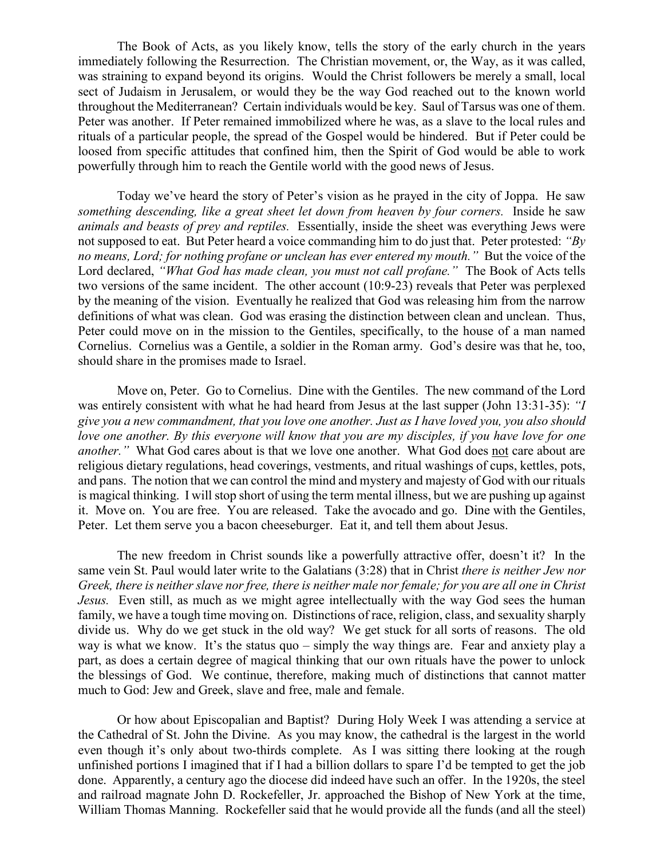The Book of Acts, as you likely know, tells the story of the early church in the years immediately following the Resurrection. The Christian movement, or, the Way, as it was called, was straining to expand beyond its origins. Would the Christ followers be merely a small, local sect of Judaism in Jerusalem, or would they be the way God reached out to the known world throughout the Mediterranean? Certain individuals would be key. Saul of Tarsus was one of them. Peter was another. If Peter remained immobilized where he was, as a slave to the local rules and rituals of a particular people, the spread of the Gospel would be hindered. But if Peter could be loosed from specific attitudes that confined him, then the Spirit of God would be able to work powerfully through him to reach the Gentile world with the good news of Jesus.

Today we've heard the story of Peter's vision as he prayed in the city of Joppa. He saw *something descending, like a great sheet let down from heaven by four corners.* Inside he saw *animals and beasts of prey and reptiles.* Essentially, inside the sheet was everything Jews were not supposed to eat. But Peter heard a voice commanding him to do just that. Peter protested: *"By no means, Lord; for nothing profane or unclean has ever entered my mouth."* But the voice of the Lord declared, *"What God has made clean, you must not call profane."* The Book of Acts tells two versions of the same incident. The other account (10:9-23) reveals that Peter was perplexed by the meaning of the vision. Eventually he realized that God was releasing him from the narrow definitions of what was clean. God was erasing the distinction between clean and unclean. Thus, Peter could move on in the mission to the Gentiles, specifically, to the house of a man named Cornelius. Cornelius was a Gentile, a soldier in the Roman army. God's desire was that he, too, should share in the promises made to Israel.

Move on, Peter. Go to Cornelius. Dine with the Gentiles. The new command of the Lord was entirely consistent with what he had heard from Jesus at the last supper (John 13:31-35): *"I give you a new commandment, that you love one another. Just as I have loved you, you also should love one another. By this everyone will know that you are my disciples, if you have love for one another."* What God cares about is that we love one another. What God does not care about are religious dietary regulations, head coverings, vestments, and ritual washings of cups, kettles, pots, and pans. The notion that we can control the mind and mystery and majesty of God with our rituals is magical thinking. I will stop short of using the term mental illness, but we are pushing up against it. Move on. You are free. You are released. Take the avocado and go. Dine with the Gentiles, Peter. Let them serve you a bacon cheeseburger. Eat it, and tell them about Jesus.

The new freedom in Christ sounds like a powerfully attractive offer, doesn't it? In the same vein St. Paul would later write to the Galatians (3:28) that in Christ *there is neither Jew nor Greek, there is neither slave nor free, there is neither male nor female; for you are all one in Christ Jesus.* Even still, as much as we might agree intellectually with the way God sees the human family, we have a tough time moving on. Distinctions of race, religion, class, and sexuality sharply divide us. Why do we get stuck in the old way? We get stuck for all sorts of reasons. The old way is what we know. It's the status quo – simply the way things are. Fear and anxiety play a part, as does a certain degree of magical thinking that our own rituals have the power to unlock the blessings of God. We continue, therefore, making much of distinctions that cannot matter much to God: Jew and Greek, slave and free, male and female.

Or how about Episcopalian and Baptist? During Holy Week I was attending a service at the Cathedral of St. John the Divine. As you may know, the cathedral is the largest in the world even though it's only about two-thirds complete. As I was sitting there looking at the rough unfinished portions I imagined that if I had a billion dollars to spare I'd be tempted to get the job done. Apparently, a century ago the diocese did indeed have such an offer. In the 1920s, the steel and railroad magnate John D. Rockefeller, Jr. approached the Bishop of New York at the time, William Thomas Manning. Rockefeller said that he would provide all the funds (and all the steel)